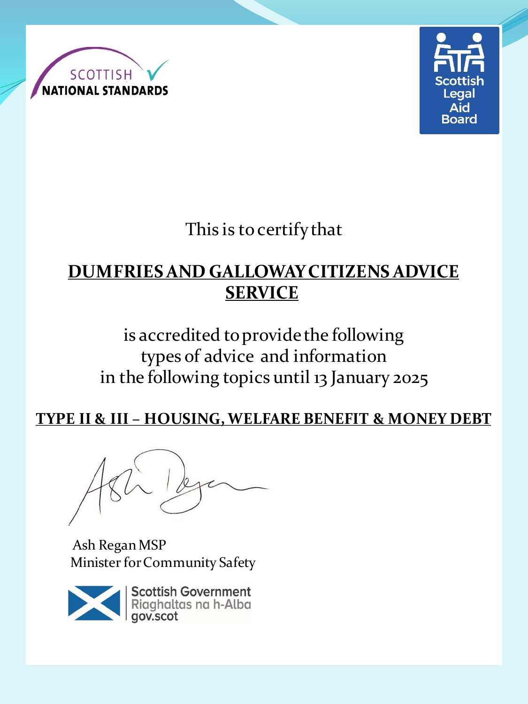



This is to certify that

# **DUMFRIES AND GALLOWAY CITIZENS ADVICE SERVICE**

is accredited to provide the following types of advice and information in the following topics until 13 January 2025

**TYPE II & III – HOUSING, WELFARE BENEFIT & MONEY DEBT** 

Ash Regan MSP Minister for Community Safety

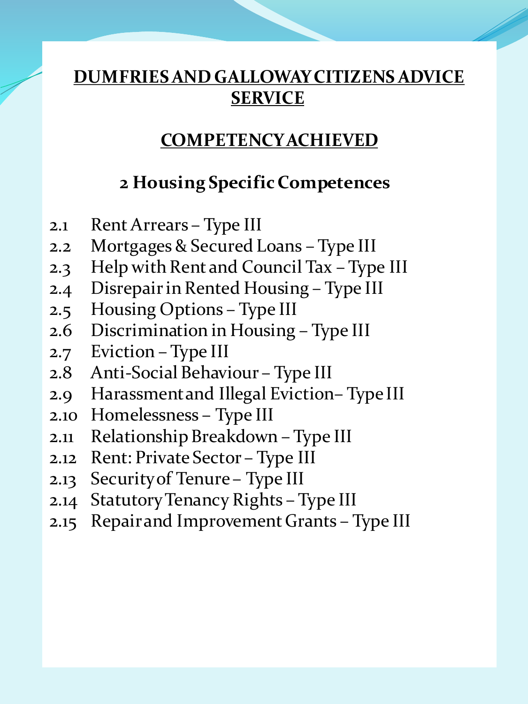### **COMPETENCY ACHIEVED**

#### **2 Housing Specific Competences**

- 2.1 Rent Arrears Type III
- 2.2 Mortgages & Secured Loans Type III
- 2.3 Help with Rent and Council Tax Type III
- 2.4 Disrepair in Rented Housing Type III
- 2.5 Housing Options Type III
- 2.6 Discrimination in Housing Type III
- 2.7 Eviction Type III
- 2.8 Anti-Social Behaviour Type III
- 2.9 Harassment and Illegal Eviction– Type III
- 2.10 Homelessness Type III
- 2.11 Relationship Breakdown Type III
- 2.12 Rent: Private Sector Type III
- 2.13 Security of Tenure Type III
- 2.14 Statutory Tenancy Rights Type III
- 2.15 Repair and Improvement Grants Type III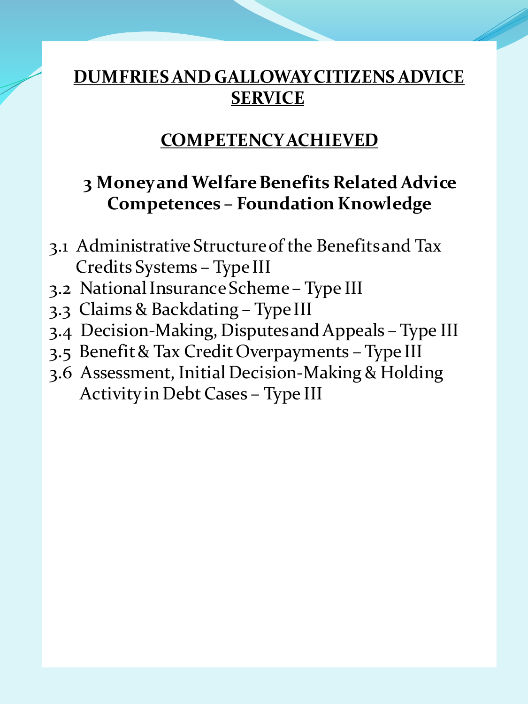#### **COMPETENCY ACHIEVED**

### **3 Money and Welfare Benefits Related Advice Competences – Foundation Knowledge**

- 3.1 Administrative Structure of the Benefits and Tax Credits Systems – Type III
- 3.2 National Insurance Scheme Type III
- 3.3 Claims & Backdating Type III
- 3.4 Decision-Making, Disputes and Appeals Type III
- 3.5 Benefit & Tax Credit Overpayments Type III
- 3.6 Assessment, Initial Decision-Making & Holding Activity in Debt Cases – Type III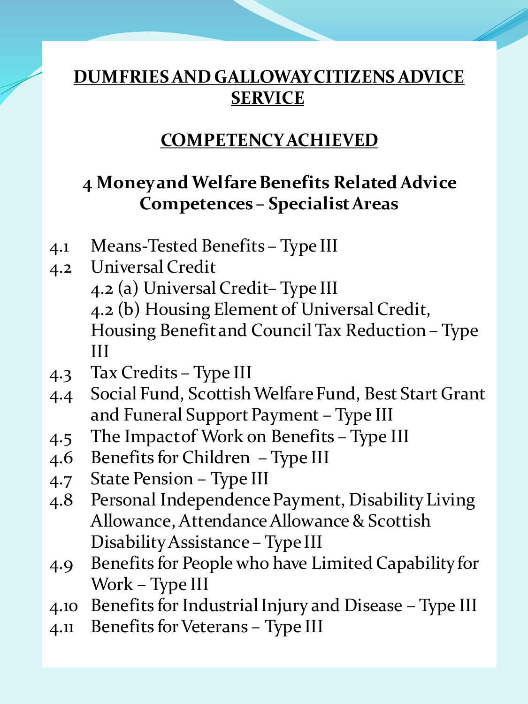### **COMPETENCY ACHIEVED**

### **4 Money and Welfare Benefits Related Advice Competences – Specialist Areas**

- 4.1 Means-Tested Benefits Type III
- 4.2 Universal Credit 4.2 (a) Universal Credit– Type III 4.2 (b) Housing Element of Universal Credit, Housing Benefit and Council Tax Reduction – Type III
- 4.3 Tax Credits Type III
- 4.4 Social Fund, Scottish Welfare Fund, Best Start Grant and Funeral Support Payment – Type III
- 4.5 The Impact of Work on Benefits Type III
- 4.6 Benefits for Children Type III
- 4.7 State Pension Type III
- 4.8 Personal Independence Payment, Disability Living Allowance, Attendance Allowance & Scottish Disability Assistance – Type III
- 4.9 Benefits for People who have Limited Capability for Work – Type III
- 4.10 Benefits for Industrial Injury and Disease Type III
- 4.11 Benefits for Veterans Type III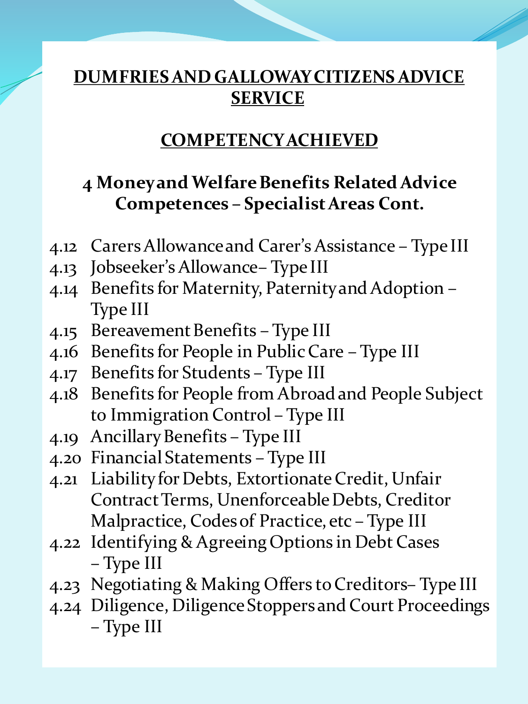#### **COMPETENCY ACHIEVED**

### **4 Money and Welfare Benefits Related Advice Competences – Specialist Areas Cont.**

- 4.12 Carers Allowance and Carer's Assistance Type III
- 4.13 Jobseeker's Allowance– Type III
- 4.14 Benefits for Maternity, Paternity and Adoption Type III
- 4.15 Bereavement Benefits Type III
- 4.16 Benefits for People in Public Care Type III
- 4.17 Benefits for Students Type III
- 4.18 Benefits for People from Abroad and People Subject to Immigration Control – Type III
- 4.19 Ancillary Benefits Type III
- 4.20 Financial Statements Type III
- 4.21 Liability for Debts, Extortionate Credit, Unfair Contract Terms, Unenforceable Debts, Creditor Malpractice, Codes of Practice, etc – Type III
- 4.22 Identifying & Agreeing Options in Debt Cases – Type III
- 4.23 Negotiating & Making Offers to Creditors– Type III
- 4.24 Diligence, Diligence Stoppers and Court Proceedings – Type III